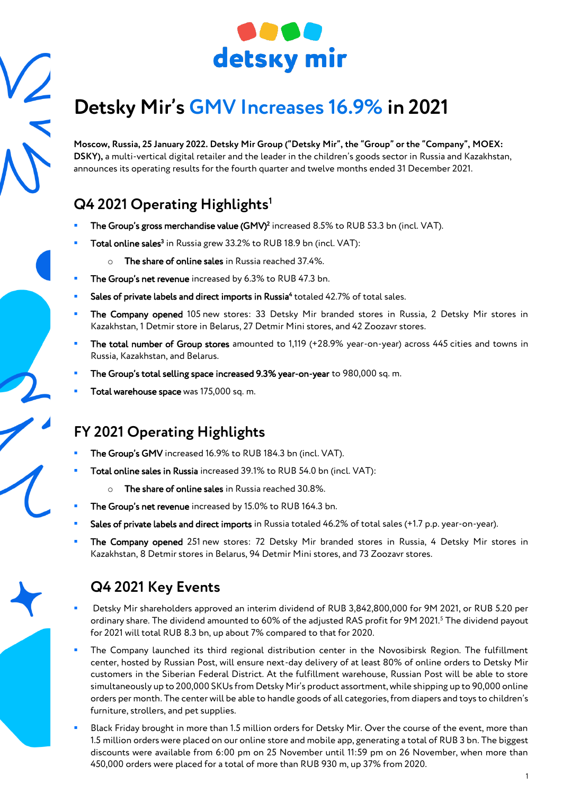

# **Detsky Mir' s GMV Increases 16.9% in 2021**

**Moscow, Russia, 25 January 2022. Detsky Mir Group ("Detsky Mir", the "Group" or the "Company", MOEX: DSKY),** a multi-vertical digital retailer and the leader in the children's goods sector in Russia and Kazakhstan, announces its operating results for the fourth quarter and twelve months ended 31 December 2021.

# **Q4 2021 Operating Highlights<sup>1</sup>**

- **The Group's gross merchandise value (GMV)<sup>2</sup> increased 8.5% to RUB 53.3 bn (incl. VAT).**
- **Total online sales<sup>3</sup> in Russia grew 33.2% to RUB 18.9 bn (incl. VAT):** 
	- o The share of online sales in Russia reached 37.4%.
- The Group's net revenue increased by 6.3% to RUB 47.3 bn.
- **Sales of private labels and direct imports in Russia<sup>4</sup> totaled 42.7% of total sales.**
- The Company opened 105 new stores: 33 Detsky Mir branded stores in Russia, 2 Detsky Mir stores in Kazakhstan, 1 Detmir store in Belarus, 27 Detmir Mini stores, and 42 Zoozavr stores.
- The total number of Group stores amounted to 1,119 (+28.9% year-on-year) across 445 cities and towns in Russia, Kazakhstan, and Belarus.
- The Group's total selling space increased 9.3% year-on-year to 980,000 sq. m.
- Total warehouse space was 175,000 sq. m.

# **FY 2021 Operating Highlights**

- The Group's GMV increased 16.9% to RUB 184.3 bn (incl. VAT).
- Total online sales in Russia increased 39.1% to RUB 54.0 bn (incl. VAT):
	- o The share of online sales in Russia reached 30.8%.
- The Group's net revenue increased by 15.0% to RUB 164.3 bn.
- Sales of private labels and direct imports in Russia totaled 46.2% of total sales (+1.7 p.p. year-on-year).
- The Company opened 251 new stores: 72 Detsky Mir branded stores in Russia, 4 Detsky Mir stores in Kazakhstan, 8 Detmir stores in Belarus, 94 Detmir Mini stores, and 73 Zoozavr stores.

#### **Q4 2021 Key Events**

- Detsky Mir shareholders approved an interim dividend of RUB 3,842,800,000 for 9M 2021, or RUB 5.20 per ordinary share. The dividend amounted to 60% of the adjusted RAS profit for 9M 2021.<sup>5</sup> The dividend payout for 2021 will total RUB 8.3 bn, up about 7% compared to that for 2020.
- The Company launched its third regional distribution center in the Novosibirsk Region. The fulfillment center, hosted by Russian Post, will ensure next-day delivery of at least 80% of online orders to Detsky Mir customers in the Siberian Federal District. At the fulfillment warehouse, Russian Post will be able to store simultaneously up to 200,000 SKUs from Detsky Mir's product assortment, while shipping up to 90,000 online orders per month. The center will be able to handle goods of all categories, from diapers and toys to children's furniture, strollers, and pet supplies.
- Black Friday brought in more than 1.5 million orders for Detsky Mir. Over the course of the event, more than 1.5 million orders were placed on our online store and mobile app, generating a total of RUB 3 bn. The biggest discounts were available from 6:00 pm on 25 November until 11:59 pm on 26 November, when more than 450,000 orders were placed for a total of more than RUB 930 m, up 37% from 2020.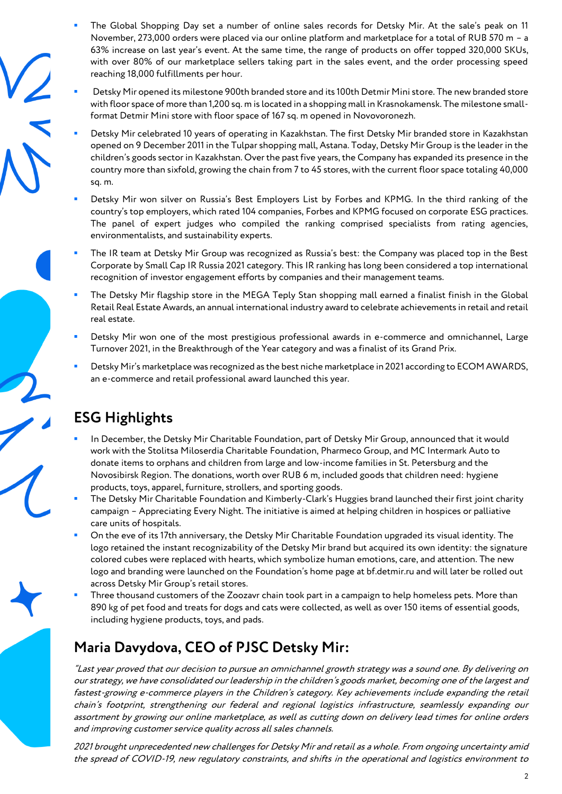- The Global Shopping Day set a number of online sales records for Detsky Mir. At the sale's peak on 11 November, 273,000 orders were placed via our online platform and marketplace for a total of RUB 570 m – a 63% increase on last year's event. At the same time, the range of products on offer topped 320,000 SKUs, with over 80% of our marketplace sellers taking part in the sales event, and the order processing speed reaching 18,000 fulfillments per hour.
- Detsky Mir opened its milestone 900th branded store and its 100th Detmir Mini store. The new branded store with floor space of more than 1,200 sq. m is located in a shopping mall in Krasnokamensk. The milestone smallformat Detmir Mini store with floor space of 167 sq. m opened in Novovoronezh.
- Detsky Mir celebrated 10 years of operating in Kazakhstan. The first Detsky Mir branded store in Kazakhstan opened on 9 December 2011 in the Tulpar shopping mall, Astana. Today, Detsky Mir Group is the leader in the children's goods sector in Kazakhstan. Over the past five years, the Company has expanded its presence in the country more than sixfold, growing the chain from 7 to 45 stores, with the current floor space totaling 40,000 sq. m.
- Detsky Mir won silver on Russia's Best Employers List by Forbes and KPMG. In the third ranking of the country's top employers, which rated 104 companies, Forbes and KPMG focused on corporate ESG practices. The panel of expert judges who compiled the ranking comprised specialists from rating agencies, environmentalists, and sustainability experts.
- The IR team at Detsky Mir Group was recognized as Russia's best: the Company was placed top in the Best Corporate by Small Cap IR Russia 2021 category. This IR ranking has long been considered a top international recognition of investor engagement efforts by companies and their management teams.
- The Detsky Mir flagship store in the MEGA Teply Stan shopping mall earned a finalist finish in the Global Retail Real Estate Awards, an annual international industry award to celebrate achievements in retail and retail real estate.
- Detsky Mir won one of the most prestigious professional awards in e-commerce and omnichannel, Large Turnover 2021, in the Breakthrough of the Year category and was a finalist of its Grand Prix.
- Detsky Mir's marketplace was recognized as the best niche marketplace in 2021 according to ECOM AWARDS, an e-commerce and retail professional award launched this year.

# **ESG Highlights**

- In December, the Detsky Mir Charitable Foundation, part of Detsky Mir Group, announced that it would work with the Stolitsa Miloserdia Charitable Foundation, Pharmeco Group, and MC Intermark Auto to donate items to orphans and children from large and low-income families in St. Petersburg and the Novosibirsk Region. The donations, worth over RUB 6 m, included goods that children need: hygiene products, toys, apparel, furniture, strollers, and sporting goods.
- The Detsky Mir Charitable Foundation and Kimberly-Clark's Huggies brand launched their first joint charity campaign – Appreciating Every Night. The initiative is aimed at helping children in hospices or palliative care units of hospitals.
- On the eve of its 17th anniversary, the Detsky Mir Charitable Foundation upgraded its visual identity. The logo retained the instant recognizability of the Detsky Mir brand but acquired its own identity: the signature colored cubes were replaced with hearts, which symbolize human emotions, care, and attention. The new logo and branding were launched on the Foundation's home page at bf.detmir.ru and will later be rolled out across Detsky Mir Group's retail stores.
- Three thousand customers of the Zoozavr chain took part in a campaign to help homeless pets. More than 890 kg of pet food and treats for dogs and cats were collected, as well as over 150 items of essential goods, including hygiene products, toys, and pads.

### **Maria Davydova, CEO of PJSC Detsky Mir:**

"Last year proved that our decision to pursue an omnichannel growth strategy was a sound one. By delivering on our strategy, we have consolidated our leadership in the children's goods market, becoming one of the largest and fastest-growing e-commerce players in the Children's category. Key achievements include expanding the retail chain's footprint, strengthening our federal and regional logistics infrastructure, seamlessly expanding our assortment by growing our online marketplace, as well as cutting down on delivery lead times for online orders and improving customer service quality across all sales channels.

2021 brought unprecedented new challenges for Detsky Mir and retail as a whole. From ongoing uncertainty amid the spread of COVID-19, new regulatory constraints, and shifts in the operational and logistics environment to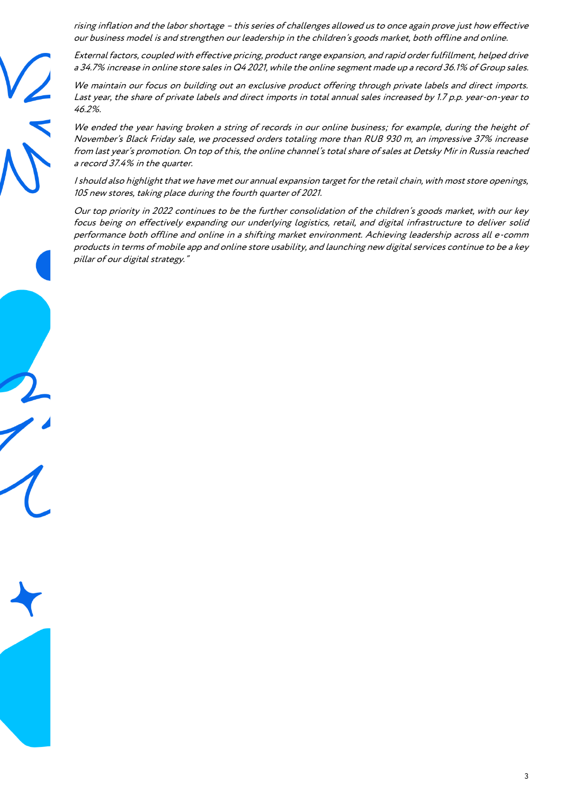rising inflation and the labor shortage – this series of challenges allowed us to once again prove just how effective our business model is and strengthen our leadership in the children's goods market, both offline and online.

External factors, coupled with effective pricing, product range expansion, and rapid order fulfillment, helped drive a 34.7% increase in online store sales in Q4 2021, while the online segment made up a record 36.1% of Group sales.

We maintain our focus on building out an exclusive product offering through private labels and direct imports. Last year, the share of private labels and direct imports in total annual sales increased by 1.7 p.p. year-on-year to 46.2%.

We ended the year having broken a string of records in our online business; for example, during the height of November's Black Friday sale, we processed orders totaling more than RUB 930 m, an impressive 37% increase from last year's promotion. On top of this, the online channel's total share of sales at Detsky Mir in Russia reached a record 37.4% in the quarter.

I should also highlight that we have met our annual expansion target for the retail chain, with most store openings, 105 new stores, taking place during the fourth quarter of 2021.

Our top priority in 2022 continues to be the further consolidation of the children's goods market, with our key focus being on effectively expanding our underlying logistics, retail, and digital infrastructure to deliver solid performance both offline and online in a shifting market environment. Achieving leadership across all e-comm products in terms of mobile app and online store usability, and launching new digital services continue to be a key pillar of our digital strategy."

3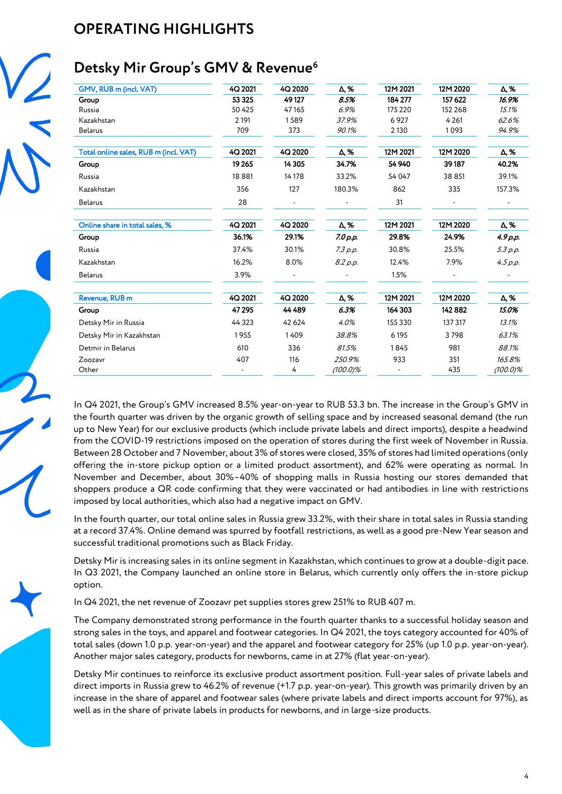# **OPERATING HIGHLIGHTS**

### **Detsky Mir Group's GMV & Revenue<sup>6</sup>**

| GMV, RUB m (incl. VAT)                | 4Q 2021 | 4Q 2020 | Δ,%         | 12M 2021 | 12M 2020 | Δ,%         |
|---------------------------------------|---------|---------|-------------|----------|----------|-------------|
| Group                                 | 53 325  | 49 127  | 8.5%        | 184 277  | 157 622  | 16.9%       |
| Russia                                | 50 425  | 47165   | 6.9%        | 175 220  | 152 268  | 15.1%       |
| Kazakhstan                            | 2 1 9 1 | 1589    | 37.9%       | 6927     | 4 2 6 1  | 62.6%       |
| <b>Belarus</b>                        | 709     | 373     | 90.1%       | 2 1 3 0  | 1093     | 94.9%       |
| Total online sales, RUB m (incl. VAT) | 4Q 2021 | 4Q 2020 | Δ,%         | 12M 2021 | 12M 2020 | Δ, %        |
| Group                                 | 19 2 65 | 14 3 05 | 34.7%       | 54 940   | 39187    | 40.2%       |
| Russia                                | 18881   | 14 17 8 | 33.2%       | 54 047   | 38 851   | 39.1%       |
| Kazakhstan                            | 356     | 127     | 180.3%      | 862      | 335      | 157.3%      |
| <b>Belarus</b>                        | 28      |         |             | 31       |          |             |
| Online share in total sales, %        | 4Q 2021 | 4Q 2020 | Δ, %        | 12M 2021 | 12M 2020 | Δ, %        |
| Group                                 | 36.1%   | 29.1%   | 7.0 p.p.    | 29.8%    | 24.9%    | 4.9 p.p.    |
| Russia                                | 37.4%   | 30.1%   | 7.3 p.p.    | 30.8%    | 25.5%    | 5.3 p.p.    |
| Kazakhstan                            | 16.2%   | 8.0%    | 8.2 p.p.    | 12.4%    | 7.9%     | 4.5 p.p.    |
| <b>Belarus</b>                        | 3.9%    |         |             | 1.5%     |          |             |
| Revenue, RUB m                        | 4Q 2021 | 4Q 2020 | Δ,%         | 12M 2021 | 12M 2020 | Δ, %        |
| Group                                 | 47 295  | 44 489  | 6.3%        | 164 303  | 142 882  | 15.0%       |
| Detsky Mir in Russia                  | 44 3 23 | 42 624  | 4.0%        | 155 330  | 137 317  | 13.1%       |
| Detsky Mir in Kazakhstan              | 1955    | 1409    | 38.8%       | 6195     | 3798     | 63.1%       |
| Detmir in Belarus                     | 610     | 336     | 81.5%       | 1845     | 981      | 88.1%       |
| Zoozavr                               | 407     | 116     | 250.9%      | 933      | 351      | 165.8%      |
| Other                                 |         | 4       | $(100.0)\%$ |          | 435      | $(100.0)\%$ |

In Q4 2021, the Group's GMV increased 8.5% year-on-year to RUB 53.3 bn. The increase in the Group's GMV in the fourth quarter was driven by the organic growth of selling space and by increased seasonal demand (the run up to New Year) for our exclusive products (which include private labels and direct imports), despite a headwind from the COVID-19 restrictions imposed on the operation of stores during the first week of November in Russia. Between 28 October and 7 November, about 3% of stores were closed, 35% of stores had limited operations (only offering the in-store pickup option or a limited product assortment), and 62% were operating as normal. In November and December, about 30%–40% of shopping malls in Russia hosting our stores demanded that shoppers produce a QR code confirming that they were vaccinated or had antibodies in line with restrictions imposed by local authorities, which also had a negative impact on GMV.

In the fourth quarter, our total online sales in Russia grew 33.2%, with their share in total sales in Russia standing at a record 37.4%. Online demand was spurred by footfall restrictions, as well as a good pre-New Year season and successful traditional promotions such as Black Friday.

Detsky Mir is increasing sales in its online segment in Kazakhstan, which continues to grow at a double-digit pace. In Q3 2021, the Company launched an online store in Belarus, which currently only offers the in-store pickup option.

In Q4 2021, the net revenue of Zoozavr pet supplies stores grew 251% to RUB 407 m.

The Company demonstrated strong performance in the fourth quarter thanks to a successful holiday season and strong sales in the toys, and apparel and footwear categories. In Q4 2021, the toys category accounted for 40% of total sales (down 1.0 p.p. year-on-year) and the apparel and footwear category for 25% (up 1.0 p.p. year-on-year). Another major sales category, products for newborns, came in at 27% (flat year-on-year).

Detsky Mir continues to reinforce its exclusive product assortment position. Full-year sales of private labels and direct imports in Russia grew to 46.2% of revenue (+1.7 p.p. year-on-year). This growth was primarily driven by an increase in the share of apparel and footwear sales (where private labels and direct imports account for 97%), as well as in the share of private labels in products for newborns, and in large-size products.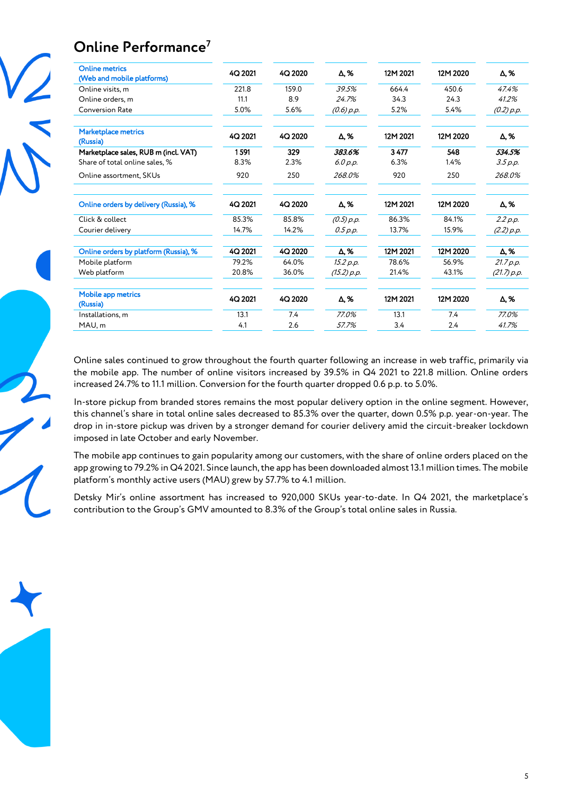# **Online Performance<sup>7</sup>**



| <b>Online metrics</b><br>(Web and mobile platforms) | 4Q 2021 | 4Q 2020 | Δ, %         | 12M 2021 | 12M 2020 | Δ,%         |
|-----------------------------------------------------|---------|---------|--------------|----------|----------|-------------|
| Online visits, m                                    | 221.8   | 159.0   | 39.5%        | 664.4    | 450.6    | 47.4%       |
| Online orders, m                                    | 11.1    | 8.9     | 24.7%        | 34.3     | 24.3     | 41.2%       |
| <b>Conversion Rate</b>                              | 5.0%    | 5.6%    | $(0.6)$ p.p. | 5.2%     | 5.4%     | (0.2) p.p.  |
| <b>Marketplace metrics</b><br>(Russia)              | 4Q 2021 | 4Q 2020 | Δ,%          | 12M 2021 | 12M 2020 | Δ, %        |
| Marketplace sales, RUB m (incl. VAT)                | 1591    | 329     | 383.6%       | 3477     | 548      | 534.5%      |
| Share of total online sales, %                      | 8.3%    | 2.3%    | 6.0 p.p.     | 6.3%     | 1.4%     | 3.5 p.p.    |
| Online assortment, SKUs                             | 920     | 250     | 268.0%       | 920      | 250      | 268.0%      |
| Online orders by delivery (Russia), %               | 4Q 2021 | 4Q 2020 | Δ, %         | 12M 2021 | 12M 2020 | Δ, %        |
| Click & collect                                     | 85.3%   | 85.8%   | (0.5) p.p.   | 86.3%    | 84.1%    | 2.2 p.p.    |
| Courier delivery                                    | 14.7%   | 14.2%   | 0.5 p.p.     | 13.7%    | 15.9%    | (2.2) p.p.  |
| Online orders by platform (Russia), %               | 4Q 2021 | 4Q 2020 | Δ,%          | 12M 2021 | 12M 2020 | Δ, %        |
| Mobile platform                                     | 79.2%   | 64.0%   | 15.2 p.p.    | 78.6%    | 56.9%    | 21.7 p.p.   |
| Web platform                                        | 20.8%   | 36.0%   | (15.2) p.p.  | 21.4%    | 43.1%    | (21.7) p.p. |
| <b>Mobile app metrics</b><br>(Russia)               | 4Q 2021 | 4Q 2020 | Δ, %         | 12M 2021 | 12M 2020 | Δ, %        |
| Installations, m                                    | 13.1    | 7.4     | 77.0%        | 13.1     | 7.4      | 77.0%       |
| MAU, m                                              | 4.1     | 2.6     | 57.7%        | 3.4      | 2.4      | 41.7%       |

Online sales continued to grow throughout the fourth quarter following an increase in web traffic, primarily via the mobile app. The number of online visitors increased by 39.5% in Q4 2021 to 221.8 million. Online orders increased 24.7% to 11.1 million. Conversion for the fourth quarter dropped 0.6 p.p. to 5.0%.

In-store pickup from branded stores remains the most popular delivery option in the online segment. However, this channel's share in total online sales decreased to 85.3% over the quarter, down 0.5% p.p. year-on-year. The drop in in-store pickup was driven by a stronger demand for courier delivery amid the circuit-breaker lockdown imposed in late October and early November.

The mobile app continues to gain popularity among our customers, with the share of online orders placed on the app growing to 79.2% in Q4 2021. Since launch, the app has been downloaded almost 13.1 million times. The mobile platform's monthly active users (MAU) grew by 57.7% to 4.1 million.

Detsky Mir's online assortment has increased to 920,000 SKUs year-to-date. In Q4 2021, the marketplace's contribution to the Group's GMV amounted to 8.3% of the Group's total online sales in Russia.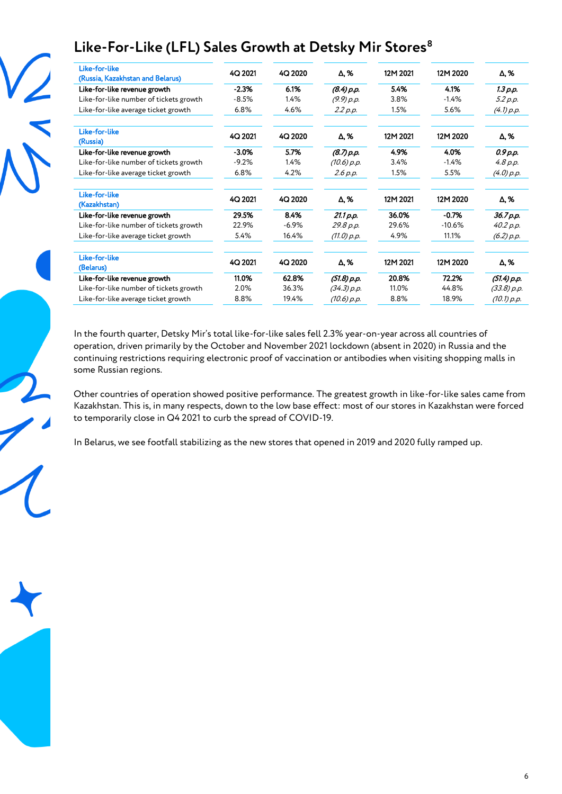

# **Like-For-Like (LFL) Sales Growth at Detsky Mir Stores<sup>8</sup>**

| 12M 2020<br>4.1%<br>$-1.4%$<br>5.6% | Δ,%<br>1.3 p.p.<br>5.2 p.p.<br>(4.1) p.p. |
|-------------------------------------|-------------------------------------------|
|                                     |                                           |
|                                     |                                           |
|                                     |                                           |
|                                     |                                           |
| 12M 2020                            | Δ,%                                       |
| 4.0%                                | 0.9 p.p.                                  |
| $-1.4%$                             | 4.8 p.p.                                  |
| 5.5%                                | (4.0) p.p.                                |
| 12M 2020                            | Δ, %                                      |
| $-0.7%$                             | 36.7 р.р.                                 |
| $-10.6%$                            | 40.2 p.p.                                 |
| 11.1%                               | (6.2) p.p.                                |
| 12M 2020                            | Δ,%                                       |
| 72.2%                               | (51.4) p.p.                               |
| 44.8%                               | (33.8) p.p.                               |
| 18.9%                               | (10.1) p.p.                               |
|                                     |                                           |

In the fourth quarter, Detsky Mir's total like-for-like sales fell 2.3% year-on-year across all countries of operation, driven primarily by the October and November 2021 lockdown (absent in 2020) in Russia and the continuing restrictions requiring electronic proof of vaccination or antibodies when visiting shopping malls in some Russian regions.

Other countries of operation showed positive performance. The greatest growth in like-for-like sales came from Kazakhstan. This is, in many respects, down to the low base effect: most of our stores in Kazakhstan were forced to temporarily close in Q4 2021 to curb the spread of COVID-19.

In Belarus, we see footfall stabilizing as the new stores that opened in 2019 and 2020 fully ramped up.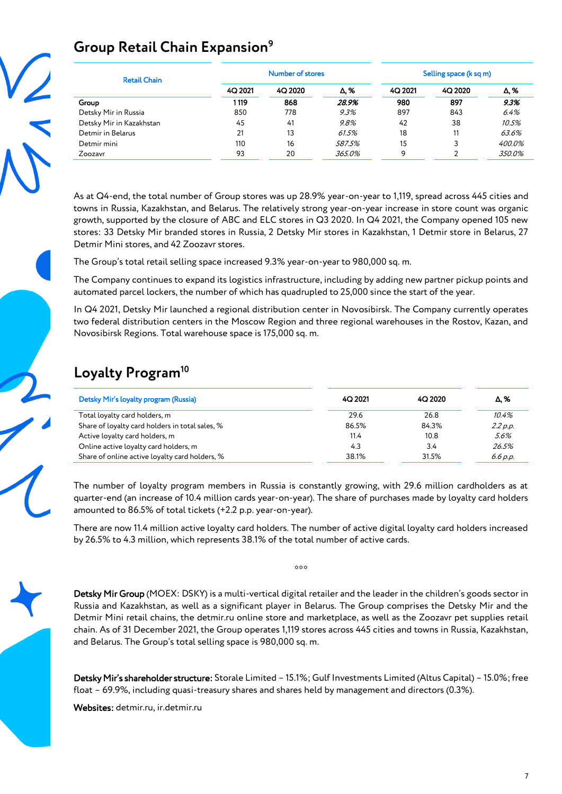# **Group Retail Chain Expansion<sup>9</sup>**

| <b>Retail Chain</b>      |         | <b>Number of stores</b> |             |         | Selling space (k sq m) |        |  |
|--------------------------|---------|-------------------------|-------------|---------|------------------------|--------|--|
|                          | 4Q 2021 | 4Q 2020                 | $\Delta$ .% | 4Q 2021 | 4Q 2020                | Δ,%    |  |
| Group                    | 1119    | 868                     | 28.9%       | 980     | 897                    | 9.3%   |  |
| Detsky Mir in Russia     | 850     | 778                     | 9.3%        | 897     | 843                    | 6.4%   |  |
| Detsky Mir in Kazakhstan | 45      | 41                      | 9.8%        | 42      | 38                     | 10.5%  |  |
| Detmir in Belarus        | 21      | 13                      | 61.5%       | 18      | 11                     | 63.6%  |  |
| Detmir mini              | 110     | 16                      | 587.5%      | 15      | 3                      | 400.0% |  |
| Zoozavr                  | 93      | 20                      | 365.0%      | 9       | C                      | 350.0% |  |

As at Q4-end, the total number of Group stores was up 28.9% year-on-year to 1,119, spread across 445 cities and towns in Russia, Kazakhstan, and Belarus. The relatively strong year-on-year increase in store count was organic growth, supported by the closure of ABC and ELC stores in Q3 2020. In Q4 2021, the Company opened 105 new stores: 33 Detsky Mir branded stores in Russia, 2 Detsky Mir stores in Kazakhstan, 1 Detmir store in Belarus, 27 Detmir Mini stores, and 42 Zoozavr stores.

The Group's total retail selling space increased 9.3% year-on-year to 980,000 sq. m.

The Company continues to expand its logistics infrastructure, including by adding new partner pickup points and automated parcel lockers, the number of which has quadrupled to 25,000 since the start of the year.

In Q4 2021, Detsky Mir launched a regional distribution center in Novosibirsk. The Company currently operates two federal distribution centers in the Moscow Region and three regional warehouses in the Rostov, Kazan, and Novosibirsk Regions. Total warehouse space is 175,000 sq. m.

#### **Loyalty Program<sup>10</sup>**

| Detsky Mir's loyalty program (Russia)           | 4Q 2021 | 4Q 2020 | Δ.%      |
|-------------------------------------------------|---------|---------|----------|
| Total loyalty card holders, m                   | 29.6    | 26.8    | 10.4%    |
| Share of loyalty card holders in total sales, % | 86.5%   | 84.3%   | 2.2 p.p. |
| Active loyalty card holders, m                  | 11.4    | 10.8    | 5.6%     |
| Online active loyalty card holders, m           | 4.3     | 3.4     | 26.5%    |
| Share of online active loyalty card holders, %  | 38.1%   | 31.5%   | 6.6 p.p. |

The number of loyalty program members in Russia is constantly growing, with 29.6 million cardholders as at quarter-end (an increase of 10.4 million cards year-on-year). The share of purchases made by loyalty card holders amounted to 86.5% of total tickets (+2.2 p.p. year-on-year).

There are now 11.4 million active loyalty card holders. The number of active digital loyalty card holders increased by 26.5% to 4.3 million, which represents 38.1% of the total number of active cards.

 $000$ 

Detsky Mir Group (MOEX: DSKY) is a multi-vertical digital retailer and the leader in the children's goods sector in Russia and Kazakhstan, as well as a significant player in Belarus. The Group comprises the Detsky Mir and the Detmir Mini retail chains, the detmir.ru online store and marketplace, as well as the Zoozavr pet supplies retail chain. As of 31 December 2021, the Group operates 1,119 stores across 445 cities and towns in Russia, Kazakhstan, and Belarus. The Group's total selling space is 980,000 sq. m.

Detsky Mir's shareholder structure: Storale Limited – 15.1%; Gulf Investments Limited (Altus Capital) – 15.0%; free float – 69.9%, including quasi-treasury shares and shares held by management and directors (0.3%).

Websites: detmir.ru, ir.detmir.ru